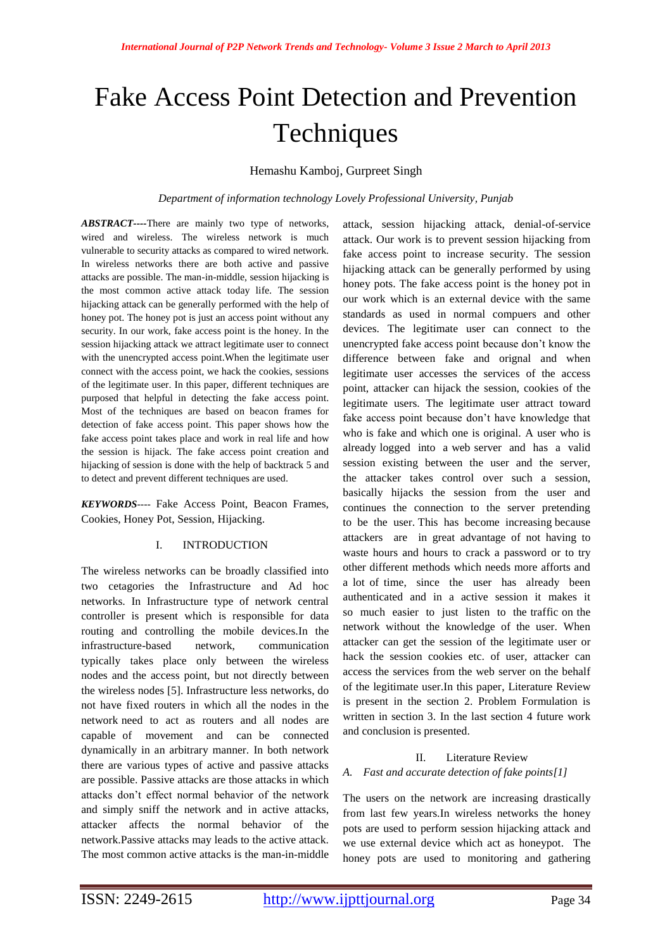# Fake Access Point Detection and Prevention **Techniques**

## Hemashu Kamboj, Gurpreet Singh

*Department of information technology Lovely Professional University, Punjab*

*ABSTRACT----*There are mainly two type of networks, wired and wireless. The wireless network is much vulnerable to security attacks as compared to wired network. In wireless networks there are both active and passive attacks are possible. The man-in-middle, session hijacking is the most common active attack today life. The session hijacking attack can be generally performed with the help of honey pot. The honey pot is just an access point without any security. In our work, fake access point is the honey. In the session hijacking attack we attract legitimate user to connect with the unencrypted access point.When the legitimate user connect with the access point, we hack the cookies, sessions of the legitimate user. In this paper, different techniques are purposed that helpful in detecting the fake access point. Most of the techniques are based on beacon frames for detection of fake access point. This paper shows how the fake access point takes place and work in real life and how the session is hijack. The fake access point creation and hijacking of session is done with the help of backtrack 5 and to detect and prevent different techniques are used.

*KEYWORDS----* Fake Access Point, Beacon Frames, Cookies, Honey Pot, Session, Hijacking.

## I. INTRODUCTION

The wireless networks can be broadly classified into two cetagories the Infrastructure and Ad hoc networks. In Infrastructure type of network central controller is present which is responsible for data routing and controlling the mobile devices.In the infrastructure-based network, communication typically takes place only between the wireless nodes and the access point, but not directly between the wireless nodes [5]. Infrastructure less networks, do not have fixed routers in which all the nodes in the network need to act as routers and all nodes are capable of movement and can be connected dynamically in an arbitrary manner. In both network there are various types of active and passive attacks are possible. Passive attacks are those attacks in which attacks don't effect normal behavior of the network and simply sniff the network and in active attacks, attacker affects the normal behavior of the network.Passive attacks may leads to the active attack. The most common active attacks is the man-in-middle

attack, session hijacking attack, denial-of-service attack. Our work is to prevent session hijacking from fake access point to increase security. The session hijacking attack can be generally performed by using honey pots. The fake access point is the honey pot in our work which is an external device with the same standards as used in normal compuers and other devices. The legitimate user can connect to the unencrypted fake access point because don't know the difference between fake and orignal and when legitimate user accesses the services of the access point, attacker can hijack the session, cookies of the legitimate users. The legitimate user attract toward fake access point because don't have knowledge that who is fake and which one is original. A user who is already logged into a web server and has a valid session existing between the user and the server, the attacker takes control over such a session, basically hijacks the session from the user and continues the connection to the server pretending to be the user. This has become increasing because attackers are in great advantage of not having to waste hours and hours to crack a password or to try other different methods which needs more afforts and a lot of time, since the user has already been authenticated and in a active session it makes it so much easier to just listen to the traffic on the network without the knowledge of the user. When attacker can get the session of the legitimate user or hack the session cookies etc. of user, attacker can access the services from the web server on the behalf of the legitimate user.In this paper, Literature Review is present in the section 2. Problem Formulation is written in section 3. In the last section 4 future work and conclusion is presented.

## II. Literature Review

## *A. Fast and accurate detection of fake points[1]*

The users on the network are increasing drastically from last few years.In wireless networks the honey pots are used to perform session hijacking attack and we use external device which act as honeypot. The honey pots are used to monitoring and gathering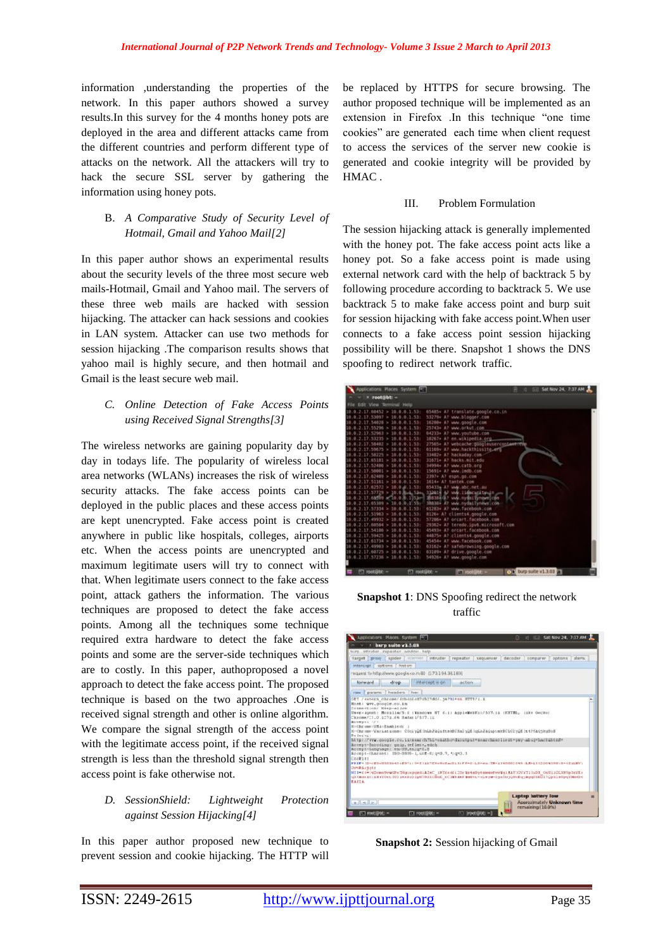information ,understanding the properties of the network. In this paper authors showed a survey results.In this survey for the 4 months honey pots are deployed in the area and different attacks came from the different countries and perform different type of attacks on the network. All the attackers will try to hack the secure SSL server by gathering the information using honey pots.

## B. *A Comparative Study of Security Level of Hotmail, Gmail and Yahoo Mail[2]*

In this paper author shows an experimental results about the security levels of the three most secure web mails-Hotmail, Gmail and Yahoo mail. The servers of these three web mails are hacked with session hijacking. The attacker can hack sessions and cookies in LAN system. Attacker can use two methods for session hijacking .The comparison results shows that yahoo mail is highly secure, and then hotmail and Gmail is the least secure web mail.

## *C. Online Detection of Fake Access Points using Received Signal Strengths[3]*

The wireless networks are gaining popularity day by day in todays life. The popularity of wireless local area networks (WLANs) increases the risk of wireless security attacks. The fake access points can be deployed in the public places and these access points are kept unencrypted. Fake access point is created anywhere in public like hospitals, colleges, airports etc. When the access points are unencrypted and maximum legitimate users will try to connect with that. When legitimate users connect to the fake access point, attack gathers the information. The various techniques are proposed to detect the fake access points. Among all the techniques some technique required extra hardware to detect the fake access points and some are the server-side techniques which are to costly. In this paper, authoproposed a novel approach to detect the fake access point. The proposed technique is based on the two approaches .One is received signal strength and other is online algorithm. We compare the signal strength of the access point with the legitimate access point, if the received signal strength is less than the threshold signal strength then access point is fake otherwise not.

## *D. SessionShield: Lightweight Protection against Session Hijacking[4]*

In this paper author proposed new technique to prevent session and cookie hijacking. The HTTP will be replaced by HTTPS for secure browsing. The author proposed technique will be implemented as an extension in Firefox .In this technique "one time cookies" are generated each time when client request to access the services of the server new cookie is generated and cookie integrity will be provided by HMAC .

#### III. Problem Formulation

The session hijacking attack is generally implemented with the honey pot. The fake access point acts like a honey pot. So a fake access point is made using external network card with the help of backtrack 5 by following procedure according to backtrack 5. We use backtrack 5 to make fake access point and burp suit for session hijacking with fake access point.When user connects to a fake access point session hijacking possibility will be there. Snapshot 1 shows the DNS spoofing to redirect network traffic.

| Applications Places System [                |                                                     | 图三组 | Sat Nov 24, 7:37 AM  |  |
|---------------------------------------------|-----------------------------------------------------|-----|----------------------|--|
| root@bt: -                                  |                                                     |     |                      |  |
| Edit View Terminal Help                     |                                                     |     |                      |  |
| $17.60452 > 10.0.0.1.53$ :                  | 65485+ A7 translate.google.co.in                    |     |                      |  |
| , 0.1.531<br>53097<br>×<br>10               | 53279+ AT www.blooser.com                           |     |                      |  |
| 54028<br>-531<br>18                         | 16200+ A7 www.google.com                            |     |                      |  |
| 17.55296<br>531                             | 25743+ A7 www.orkut.com                             |     |                      |  |
| 531<br>.52963                               | 64233+ A? www.youtube.com                           |     |                      |  |
| 1.531<br>53235                              | 10267+ AT en.wikipedia.org                          |     |                      |  |
| 0.1.531<br>58482<br>×                       | 27565+ A? webcache.googleusercontements             |     |                      |  |
| 1.53:<br>.55675<br>×                        | 61169+ A7 www.hackthlsslte.efG                      |     |                      |  |
| 3.33:<br>58725<br>×                         | 33482+ A7 hackaday.com                              |     |                      |  |
| 1.531<br>65383<br>×                         | 31871+ A7 hacks.mit.edu                             |     |                      |  |
| .531<br>52486<br>$\sim$                     | 34994+ A7 www.catb.org                              |     |                      |  |
| 17.50001<br>531                             | 15691+ A7 www.indb.com                              |     |                      |  |
| 531<br>30<br>л.<br>62409                    | 2397+ A7 espn.go.com                                |     |                      |  |
| 16<br>531<br>2.17.51161<br>e<br>×           | 1614+ A7 tantek.com                                 |     |                      |  |
| 10:0.2.17.62572 ><br>$10.040.133$ :         | 05433+ A7 www.abc.net.au                            |     |                      |  |
| 2.17.57729<br>10.0.0.4.53m.<br>10.<br>- 10  | 112414 A7 vAW. IS@scucktwain                        |     |                      |  |
| .1053 <sub>0</sub><br>63/109<br>٠<br>o      | 3B838E/A? www.nydini.tynows.com                     |     |                      |  |
|                                             | 38838+ AT www.nydailynews.com                       |     |                      |  |
| 531                                         | 61283+ A7 www.facebook.com                          |     |                      |  |
| 531                                         | clients4.google.com<br>8126+                        |     |                      |  |
| $-53 -$                                     | orcart.facebook.com<br>57286+                       |     |                      |  |
| 15.31<br>.60384                             | $29362+$<br>teredo.lov6.mlcrosoft.com<br><b>A7.</b> |     |                      |  |
| .54100<br>1.53:                             | 45493+ A7 orcart.facebook.com                       |     |                      |  |
| 3.53:<br>59425<br>×                         | 44875+ A? clients4.google.com                       |     |                      |  |
| 531                                         | 45454+ A7 MW. Tacebook.com                          |     |                      |  |
| 331                                         | 63162+ A7 safebrowsing.google.com                   |     |                      |  |
| 1.531<br>2.17.60725<br>×<br>$\theta$<br>. е | 63109+ A7 drive.google.com                          |     |                      |  |
| 0.2.17.57236 > 10.0.0.1.53                  | 54926+ A7 www.google.com                            |     |                      |  |
| $\Box$ root@bt: $-$<br>m rootGbt: -         | ET root@bt: =                                       |     | C burp suite v1.3.03 |  |

**Snapshot 1**: DNS Spoofing redirect the network traffic



**Snapshot 2:** Session hijacking of Gmail